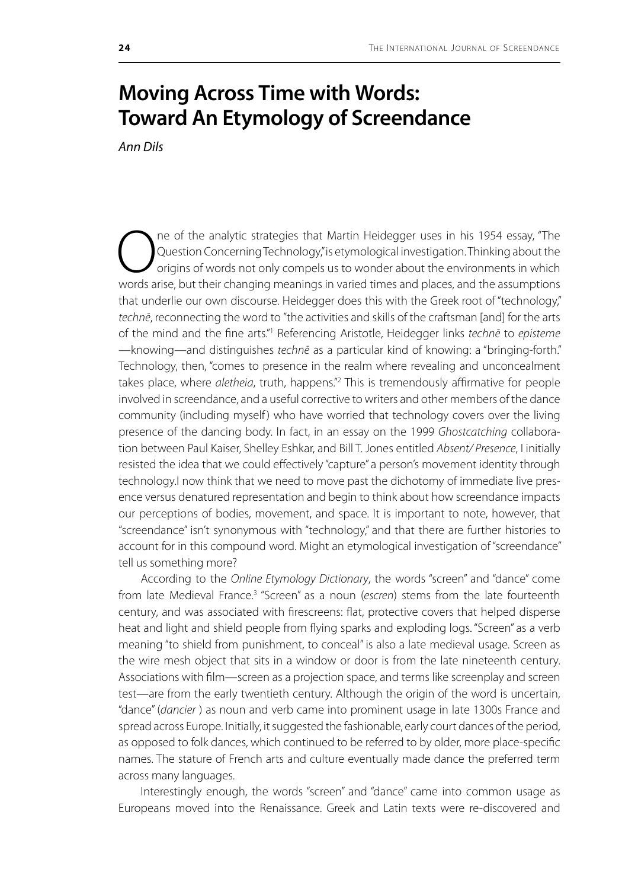## **Moving Across Time with Words: Toward An Etymology of Screendance**

*Ann Dils*

One of the analytic strategies that Martin Heidegger uses in his 1954 essay, "The Question Concerning Technology," is etymological investigation. Thinking about the origins of words not only compels us to wonder about the Question Concerning Technology," is etymological investigation. Thinking about the origins of words not only compels us to wonder about the environments in which words arise, but their changing meanings in varied times and places, and the assumptions that underlie our own discourse. Heidegger does this with the Greek root of "technology," *technē*, reconnecting the word to "the activities and skills of the craftsman [and] for the arts of the mind and the fine arts."1 Referencing Aristotle, Heidegger links *technē* to *episteme* —knowing—and distinguishes *technē* as a particular kind of knowing: a "bringing-forth." Technology, then, "comes to presence in the realm where revealing and unconcealment takes place, where *aletheia*, truth, happens."<sup>2</sup> This is tremendously affirmative for people involved in screendance, and a useful corrective to writers and other members of the dance community (including myself) who have worried that technology covers over the living presence of the dancing body. In fact, in an essay on the 1999 *Ghostcatching* collaboration between Paul Kaiser, Shelley Eshkar, and Bill T. Jones entitled *Absent/ Presence*, I initially resisted the idea that we could effectively "capture" a person's movement identity through technology.I now think that we need to move past the dichotomy of immediate live presence versus denatured representation and begin to think about how screendance impacts our perceptions of bodies, movement, and space. It is important to note, however, that "screendance" isn't synonymous with "technology," and that there are further histories to account for in this compound word. Might an etymological investigation of "screendance" tell us something more?

According to the *Online Etymology Dictionary*, the words "screen" and "dance" come from late Medieval France.3 "Screen" as a noun (*escren*) stems from the late fourteenth century, and was associated with firescreens: flat, protective covers that helped disperse heat and light and shield people from flying sparks and exploding logs. "Screen" as a verb meaning "to shield from punishment, to conceal" is also a late medieval usage. Screen as the wire mesh object that sits in a window or door is from the late nineteenth century. Associations with film—screen as a projection space, and terms like screenplay and screen test—are from the early twentieth century. Although the origin of the word is uncertain, "dance" (*dancier* ) as noun and verb came into prominent usage in late 1300s France and spread across Europe. Initially, it suggested the fashionable, early court dances of the period, as opposed to folk dances, which continued to be referred to by older, more place-specific names. The stature of French arts and culture eventually made dance the preferred term across many languages.

Interestingly enough, the words "screen" and "dance" came into common usage as Europeans moved into the Renaissance. Greek and Latin texts were re-discovered and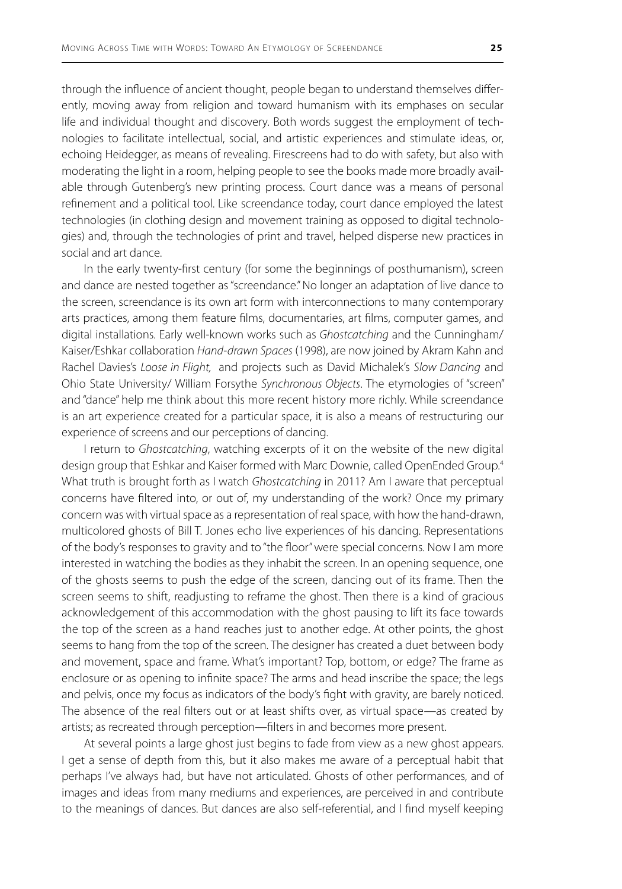through the influence of ancient thought, people began to understand themselves differently, moving away from religion and toward humanism with its emphases on secular life and individual thought and discovery. Both words suggest the employment of technologies to facilitate intellectual, social, and artistic experiences and stimulate ideas, or, echoing Heidegger, as means of revealing. Firescreens had to do with safety, but also with moderating the light in a room, helping people to see the books made more broadly available through Gutenberg's new printing process. Court dance was a means of personal refinement and a political tool. Like screendance today, court dance employed the latest technologies (in clothing design and movement training as opposed to digital technologies) and, through the technologies of print and travel, helped disperse new practices in social and art dance.

In the early twenty-first century (for some the beginnings of posthumanism), screen and dance are nested together as "screendance." No longer an adaptation of live dance to the screen, screendance is its own art form with interconnections to many contemporary arts practices, among them feature films, documentaries, art films, computer games, and digital installations. Early well-known works such as *Ghostcatching* and the Cunningham/ Kaiser/Eshkar collaboration *Hand-drawn Spaces* (1998), are now joined by Akram Kahn and Rachel Davies's *Loose in Flight,* and projects such as David Michalek's *Slow Dancing* and Ohio State University/ William Forsythe *Synchronous Objects*. The etymologies of "screen" and "dance" help me think about this more recent history more richly. While screendance is an art experience created for a particular space, it is also a means of restructuring our experience of screens and our perceptions of dancing.

I return to *Ghostcatching*, watching excerpts of it on the website of the new digital design group that Eshkar and Kaiser formed with Marc Downie, called OpenEnded Group.<sup>4</sup> What truth is brought forth as I watch *Ghostcatching* in 2011? Am I aware that perceptual concerns have filtered into, or out of, my understanding of the work? Once my primary concern was with virtual space as a representation of real space, with how the hand-drawn, multicolored ghosts of Bill T. Jones echo live experiences of his dancing. Representations of the body's responses to gravity and to "the floor" were special concerns. Now I am more interested in watching the bodies as they inhabit the screen. In an opening sequence, one of the ghosts seems to push the edge of the screen, dancing out of its frame. Then the screen seems to shift, readjusting to reframe the ghost. Then there is a kind of gracious acknowledgement of this accommodation with the ghost pausing to lift its face towards the top of the screen as a hand reaches just to another edge. At other points, the ghost seems to hang from the top of the screen. The designer has created a duet between body and movement, space and frame. What's important? Top, bottom, or edge? The frame as enclosure or as opening to infinite space? The arms and head inscribe the space; the legs and pelvis, once my focus as indicators of the body's fight with gravity, are barely noticed. The absence of the real filters out or at least shifts over, as virtual space—as created by artists; as recreated through perception—filters in and becomes more present.

At several points a large ghost just begins to fade from view as a new ghost appears. I get a sense of depth from this, but it also makes me aware of a perceptual habit that perhaps I've always had, but have not articulated. Ghosts of other performances, and of images and ideas from many mediums and experiences, are perceived in and contribute to the meanings of dances. But dances are also self-referential, and I find myself keeping